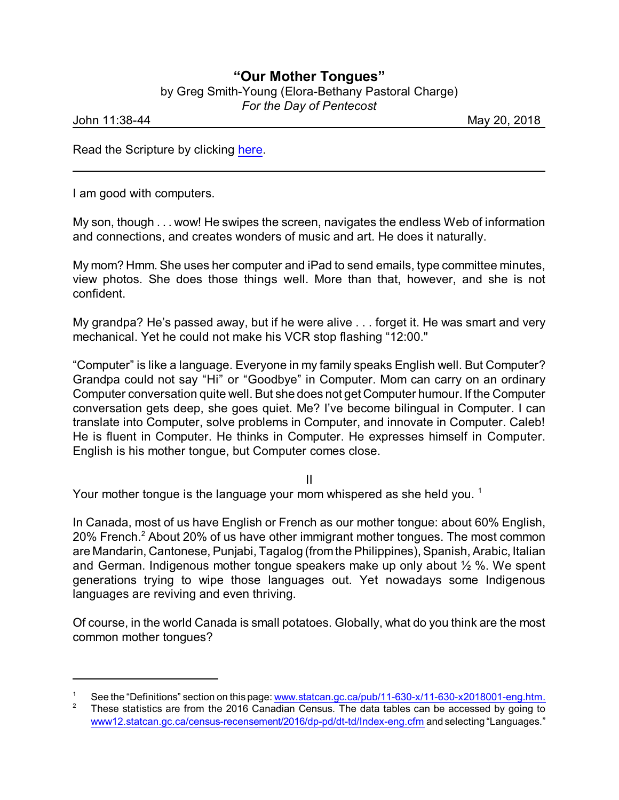## **"Our Mother Tongues"**

by Greg Smith-Young (Elora-Bethany Pastoral Charge) *For the Day of Pentecost*

John 11:38-44 May 20, 2018

Read the Scripture by clicking [here](https://www.biblegateway.com/passage/?search=Acts+2%3A1-24%2C+40-41&version=CEB).

I am good with computers.

My son, though . . . wow! He swipes the screen, navigates the endless Web of information and connections, and creates wonders of music and art. He does it naturally.

My mom? Hmm. She uses her computer and iPad to send emails, type committee minutes, view photos. She does those things well. More than that, however, and she is not confident.

My grandpa? He's passed away, but if he were alive . . . forget it. He was smart and very mechanical. Yet he could not make his VCR stop flashing "12:00."

"Computer" is like a language. Everyone in my family speaks English well. But Computer? Grandpa could not say "Hi" or "Goodbye" in Computer. Mom can carry on an ordinary Computer conversation quite well. But she does not get Computer humour. If the Computer conversation gets deep, she goes quiet. Me? I've become bilingual in Computer. I can translate into Computer, solve problems in Computer, and innovate in Computer. Caleb! He is fluent in Computer. He thinks in Computer. He expresses himself in Computer. English is his mother tongue, but Computer comes close.

II

Your mother tongue is the language your mom whispered as she held you.  $1$ 

In Canada, most of us have English or French as our mother tongue: about 60% English, 20% French.<sup>2</sup> About 20% of us have other immigrant mother tongues. The most common are Mandarin, Cantonese, Punjabi, Tagalog (fromthe Philippines), Spanish, Arabic, Italian and German. Indigenous mother tongue speakers make up only about ½ %. We spent generations trying to wipe those languages out. Yet nowadays some Indigenous languages are reviving and even thriving.

Of course, in the world Canada is small potatoes. Globally, what do you think are the most common mother tongues?

<sup>&</sup>lt;sup>1</sup> See the "Definitions" section on this page: [www.statcan.gc.ca/pub/11-630-x/11-630-x2018001-eng.htm.](http://www.statcan.gc.ca/pub/11-630-x/11-630-x2018001-eng.htm.)<br><sup>2</sup> These statistics are from the 2016 Canadian Census. The data tables can be accessed by going to

<sup>2</sup> These statistics are from the 2016 Canadian Census. The data tables can be accessed by going to [www12.statcan.gc.ca/census-recensement/2016/dp-pd/dt-td/Index-eng.cfm](http://www12.statcan.gc.ca/census-recensement/2016/dp-pd/dt-td/Index-eng.cfm) and selecting "Languages."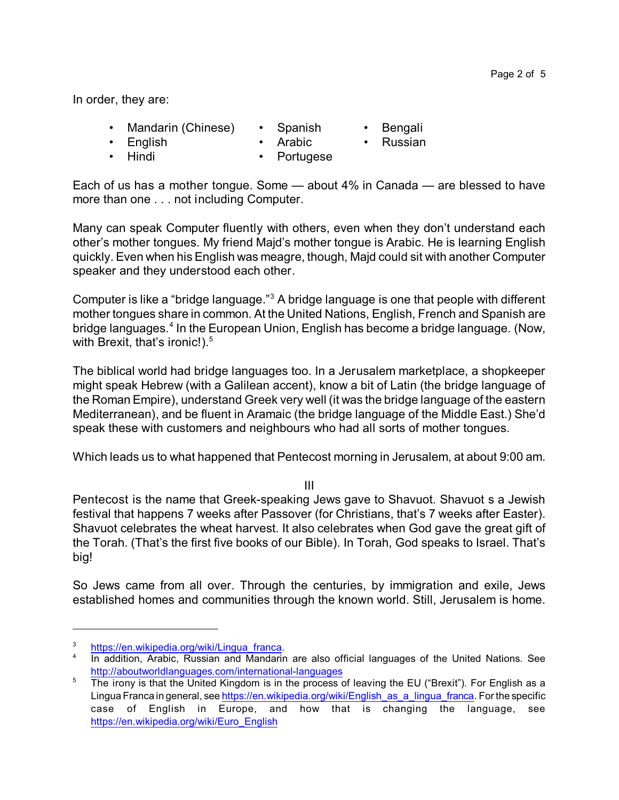In order, they are:

- Mandarin (Chinese) • Spanish
- English
- **Arabic**
- Russian

**Bengali** 

• Hindi

• Portugese

Each of us has a mother tongue. Some — about 4% in Canada — are blessed to have more than one . . . not including Computer.

Many can speak Computer fluently with others, even when they don't understand each other's mother tongues. My friend Majd's mother tongue is Arabic. He is learning English quickly. Even when his English was meagre, though, Majd could sit with another Computer speaker and they understood each other.

Computer is like a "bridge language."<sup>3</sup> A bridge language is one that people with different mother tongues share in common. At the United Nations, English, French and Spanish are bridge languages.<sup>4</sup> In the European Union, English has become a bridge language. (Now, with Brexit, that's ironic!). $^{\rm 5}$ 

The biblical world had bridge languages too. In a Jerusalem marketplace, a shopkeeper might speak Hebrew (with a Galilean accent), know a bit of Latin (the bridge language of the Roman Empire), understand Greek very well (it was the bridge language of the eastern Mediterranean), and be fluent in Aramaic (the bridge language of the Middle East.) She'd speak these with customers and neighbours who had all sorts of mother tongues.

Which leads us to what happened that Pentecost morning in Jerusalem, at about 9:00 am.

III

Pentecost is the name that Greek-speaking Jews gave to Shavuot. Shavuot s a Jewish festival that happens 7 weeks after Passover (for Christians, that's 7 weeks after Easter). Shavuot celebrates the wheat harvest. It also celebrates when God gave the great gift of the Torah. (That's the first five books of our Bible). In Torah, God speaks to Israel. That's big!

So Jews came from all over. Through the centuries, by immigration and exile, Jews established homes and communities through the known world. Still, Jerusalem is home.

[https://en.wikipedia.org/wiki/Lingua\\_franca](https://en.wikipedia.org/wiki/Lingua_franca).

<sup>&</sup>lt;sup>4</sup> In addition, Arabic, Russian and Mandarin are also official languages of the United Nations. See <http://aboutworldlanguages.com/international-languages>

<sup>&</sup>lt;sup>5</sup> The irony is that the United Kingdom is in the process of leaving the EU ("Brexit"). For English as a Lingua Franca in general, see [https://en.wikipedia.org/wiki/English\\_as\\_a\\_lingua\\_franca](https://en.wikipedia.org/wiki/English_as_a_lingua_franca). For the specific case of English in Europe, and how that is changing the language, see [https://en.wikipedia.org/wiki/Euro\\_English](https://en.wikipedia.org/wiki/Euro_English)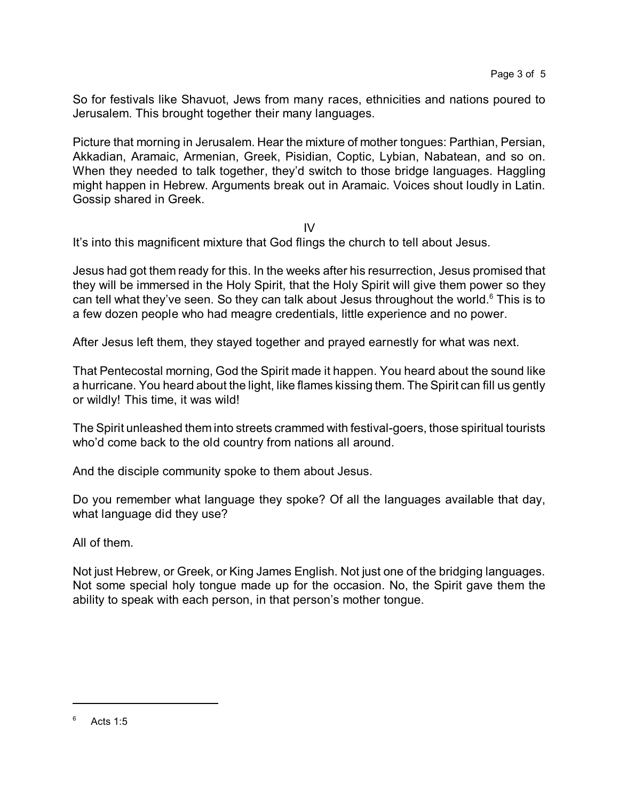So for festivals like Shavuot, Jews from many races, ethnicities and nations poured to Jerusalem. This brought together their many languages.

Picture that morning in Jerusalem. Hear the mixture of mother tongues: Parthian, Persian, Akkadian, Aramaic, Armenian, Greek, Pisidian, Coptic, Lybian, Nabatean, and so on. When they needed to talk together, they'd switch to those bridge languages. Haggling might happen in Hebrew. Arguments break out in Aramaic. Voices shout loudly in Latin. Gossip shared in Greek.

IV

It's into this magnificent mixture that God flings the church to tell about Jesus.

Jesus had got them ready for this. In the weeks after his resurrection, Jesus promised that they will be immersed in the Holy Spirit, that the Holy Spirit will give them power so they can tell what they've seen. So they can talk about Jesus throughout the world. $6$  This is to a few dozen people who had meagre credentials, little experience and no power.

After Jesus left them, they stayed together and prayed earnestly for what was next.

That Pentecostal morning, God the Spirit made it happen. You heard about the sound like a hurricane. You heard about the light, like flames kissing them. The Spirit can fill us gently or wildly! This time, it was wild!

The Spirit unleashed them into streets crammed with festival-goers, those spiritual tourists who'd come back to the old country from nations all around.

And the disciple community spoke to them about Jesus.

Do you remember what language they spoke? Of all the languages available that day, what language did they use?

All of them.

Not just Hebrew, or Greek, or King James English. Not just one of the bridging languages. Not some special holy tongue made up for the occasion. No, the Spirit gave them the ability to speak with each person, in that person's mother tongue.

 $6$  Acts 1:5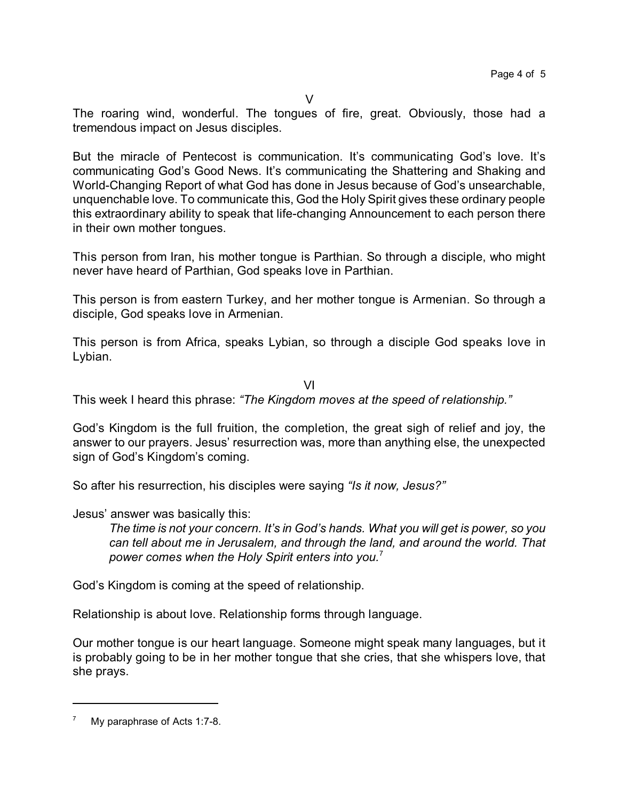The roaring wind, wonderful. The tongues of fire, great. Obviously, those had a tremendous impact on Jesus disciples.

But the miracle of Pentecost is communication. It's communicating God's love. It's communicating God's Good News. It's communicating the Shattering and Shaking and World-Changing Report of what God has done in Jesus because of God's unsearchable, unquenchable love. To communicate this, God the Holy Spirit gives these ordinary people this extraordinary ability to speak that life-changing Announcement to each person there in their own mother tongues.

This person from Iran, his mother tongue is Parthian. So through a disciple, who might never have heard of Parthian, God speaks love in Parthian.

This person is from eastern Turkey, and her mother tongue is Armenian. So through a disciple, God speaks love in Armenian.

This person is from Africa, speaks Lybian, so through a disciple God speaks love in Lybian.

VI

This week I heard this phrase: *"The Kingdom moves at the speed of relationship."*

God's Kingdom is the full fruition, the completion, the great sigh of relief and joy, the answer to our prayers. Jesus' resurrection was, more than anything else, the unexpected sign of God's Kingdom's coming.

So after his resurrection, his disciples were saying *"Is it now, Jesus?"*

Jesus' answer was basically this:

*The time is not your concern. It's in God's hands. What you will get is power, so you can tell about me in Jerusalem, and through the land, and around the world. That power comes when the Holy Spirit enters into you.*<sup>7</sup>

God's Kingdom is coming at the speed of relationship.

Relationship is about love. Relationship forms through language.

Our mother tongue is our heart language. Someone might speak many languages, but it is probably going to be in her mother tongue that she cries, that she whispers love, that she prays.

 $7$  My paraphrase of Acts 1:7-8.